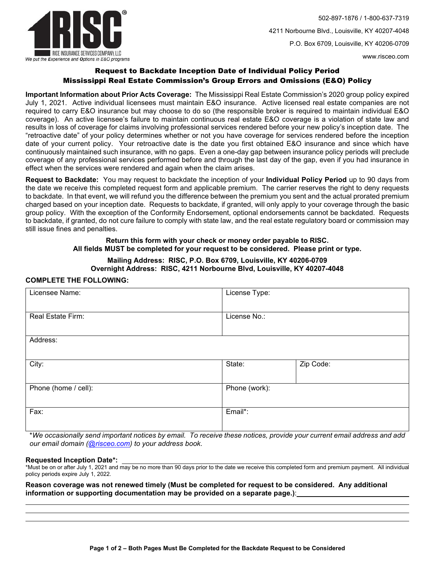

502-897-1876 / 1-800-637-7319 4211 Norbourne Blvd., Louisville, KY 40207-4048 P.O. Box 6709, Louisville, KY 40206-0709

www.risceo.com

# Request to Backdate Inception Date of Individual Policy Period Mississippi Real Estate Commission's Group Errors and Omissions (E&O) Policy

**Important Information about Prior Acts Coverage:** The Mississippi Real Estate Commission's 2020 group policy expired July 1, 2021. Active individual licensees must maintain E&O insurance. Active licensed real estate companies are not required to carry E&O insurance but may choose to do so (the responsible broker is required to maintain individual E&O coverage).An active licensee's failure to maintain continuous real estate E&O coverage is a violation of state law and results in loss of coverage for claims involving professional services rendered before your new policy's inception date. The "retroactive date" of your policy determines whether or not you have coverage for services rendered before the inception date of your current policy. Your retroactive date is the date you first obtained E&O insurance and since which have continuously maintained such insurance, with no gaps. Even a one-day gap between insurance policy periods will preclude coverage of any professional services performed before and through the last day of the gap, even if you had insurance in effect when the services were rendered and again when the claim arises.

**Request to Backdate:** You may request to backdate the inception of your **Individual Policy Period** up to 90 days from the date we receive this completed request form and applicable premium. The carrier reserves the right to deny requests to backdate. In that event, we will refund you the difference between the premium you sent and the actual prorated premium charged based on your inception date. Requests to backdate, if granted, will only apply to your coverage through the basic group policy. With the exception of the Conformity Endorsement, optional endorsements cannot be backdated. Requests to backdate, if granted, do not cure failure to comply with state law, and the real estate regulatory board or commission may still issue fines and penalties.

## **Return this form with your check or money order payable to RISC. All fields MUST be completed for your request to be considered. Please print or type.**

### **Mailing Address: RISC, P.O. Box 6709, Louisville, KY 40206-0709 Overnight Address: RISC, 4211 Norbourne Blvd, Louisville, KY 40207-4048**

#### **COMPLETE THE FOLLOWING:**

| Licensee Name:       | License Type: |           |
|----------------------|---------------|-----------|
| Real Estate Firm:    | License No.:  |           |
| Address:             |               |           |
| City:                | State:        | Zip Code: |
| Phone (home / cell): | Phone (work): |           |
| Fax:                 | Email*:       |           |

\**We occasionally send important notices by email. To receive these notices, provide your current email address and add our email domain (@risceo.com) to your address book.*

#### **Requested Inception Date\*:**

 $\overline{a}$ 

L

\*Must be on or after July 1, 2021 and may be no more than 90 days prior to the date we receive this completed form and premium payment. All individual policy periods expire July 1, 2022.

**Reason coverage was not renewed timely (Must be completed for request to be considered. Any additional information or supporting documentation may be provided on a separate page.)**: